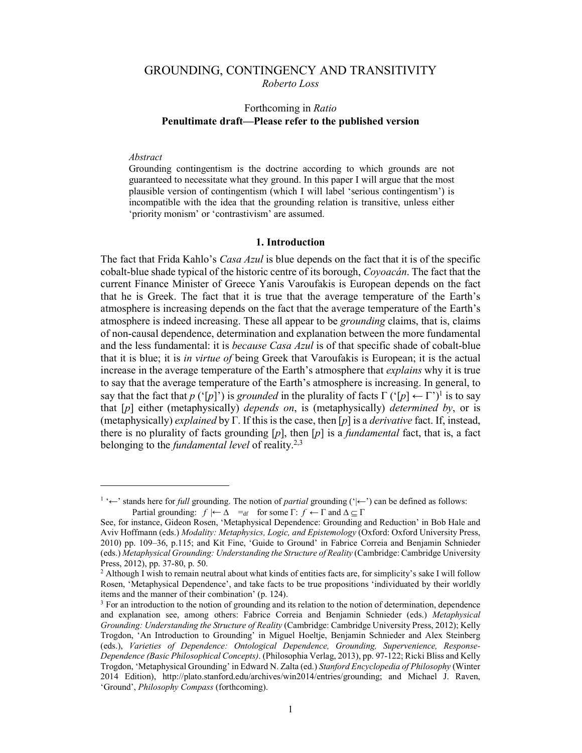# GROUNDING, CONTINGENCY AND TRANSITIVITY *Roberto Loss*

## Forthcoming in *Ratio* **Penultimate draft—Please refer to the published version**

#### *Abstract*

 $\ddot{ }$ 

Grounding contingentism is the doctrine according to which grounds are not guaranteed to necessitate what they ground. In this paper I will argue that the most plausible version of contingentism (which I will label 'serious contingentism') is incompatible with the idea that the grounding relation is transitive, unless either 'priority monism' or 'contrastivism' are assumed.

### **1. Introduction**

The fact that Frida Kahlo's *Casa Azul* is blue depends on the fact that it is of the specific cobalt-blue shade typical of the historic centre of its borough, *Coyoacán*. The fact that the current Finance Minister of Greece Yanis Varoufakis is European depends on the fact that he is Greek. The fact that it is true that the average temperature of the Earth's atmosphere is increasing depends on the fact that the average temperature of the Earth's atmosphere is indeed increasing. These all appear to be *grounding* claims, that is, claims of non-causal dependence, determination and explanation between the more fundamental and the less fundamental: it is *because Casa Azul* is of that specific shade of cobalt-blue that it is blue; it is *in virtue of* being Greek that Varoufakis is European; it is the actual increase in the average temperature of the Earth's atmosphere that *explains* why it is true to say that the average temperature of the Earth's atmosphere is increasing. In general, to say that the fact that *p* ('[*p*]') is *grounded* in the plurality of facts  $\Gamma$  ('[*p*]  $\leftarrow \Gamma$ ')<sup>1</sup> is to say that [*p*] either (metaphysically) *depends on*, is (metaphysically) *determined by*, or is (metaphysically) *explained* by Γ. If this is the case, then [*p*] is a *derivative* fact. If, instead, there is no plurality of facts grounding  $[p]$ , then  $[p]$  is a *fundamental* fact, that is, a fact belonging to the *fundamental level* of reality.2,3

<sup>1</sup> '←' stands here for *full* grounding. The notion of *partial* grounding ('|←') can be defined as follows: Partial grounding:  $f \models \Delta =_{df}$  for some  $\Gamma: f \leftarrow \Gamma$  and  $\Delta \subseteq \Gamma$ 

See, for instance, Gideon Rosen, 'Metaphysical Dependence: Grounding and Reduction' in Bob Hale and Aviv Hoffmann (eds.) *Modality: Metaphysics, Logic, and Epistemology* (Oxford: Oxford University Press, 2010) pp. 109–36, p.115; and Kit Fine, 'Guide to Ground' in Fabrice Correia and Benjamin Schnieder (eds.) *Metaphysical Grounding: Understanding the Structure of Reality* (Cambridge: Cambridge University Press, 2012), pp. 37-80, p. 50.

<sup>&</sup>lt;sup>2</sup> Although I wish to remain neutral about what kinds of entities facts are, for simplicity's sake I will follow Rosen, 'Metaphysical Dependence', and take facts to be true propositions 'individuated by their worldly items and the manner of their combination' (p. 124).

<sup>&</sup>lt;sup>3</sup> For an introduction to the notion of grounding and its relation to the notion of determination, dependence and explanation see, among others: Fabrice Correia and Benjamin Schnieder (eds.) *Metaphysical Grounding: Understanding the Structure of Reality* (Cambridge: Cambridge University Press, 2012); Kelly Trogdon, 'An Introduction to Grounding' in Miguel Hoeltje, Benjamin Schnieder and Alex Steinberg (eds.), *Varieties of Dependence: Ontological Dependence, Grounding, Supervenience, Response-Dependence (Basic Philosophical Concepts)*. (Philosophia Verlag, 2013), pp. 97-122; Ricki Bliss and Kelly Trogdon, 'Metaphysical Grounding' in Edward N. Zalta (ed.) *Stanford Encyclopedia of Philosophy* (Winter 2014 Edition), http://plato.stanford.edu/archives/win2014/entries/grounding; and Michael J. Raven, 'Ground', *Philosophy Compass* (forthcoming).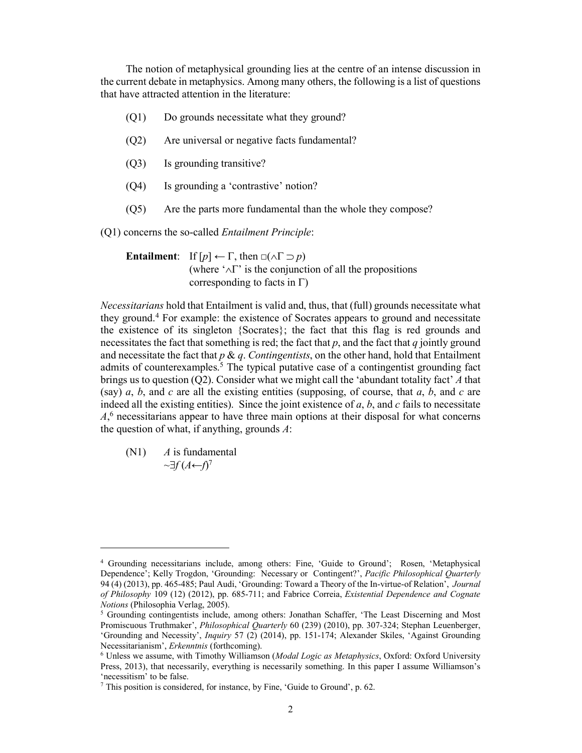The notion of metaphysical grounding lies at the centre of an intense discussion in the current debate in metaphysics. Among many others, the following is a list of questions that have attracted attention in the literature:

- (Q1) Do grounds necessitate what they ground?
- (Q2) Are universal or negative facts fundamental?
- (Q3) Is grounding transitive?
- (Q4) Is grounding a 'contrastive' notion?
- (Q5) Are the parts more fundamental than the whole they compose?

(Q1) concerns the so-called *Entailment Principle*:

**Entailment**: If  $[p] \leftarrow \Gamma$ , then  $\Box(\land \Gamma \supset p)$ (where  $\Delta \Gamma$  is the conjunction of all the propositions corresponding to facts in  $\Gamma$ )

*Necessitarians* hold that Entailment is valid and, thus, that (full) grounds necessitate what they ground. <sup>4</sup> For example: the existence of Socrates appears to ground and necessitate the existence of its singleton {Socrates}; the fact that this flag is red grounds and necessitates the fact that something is red; the fact that  $p$ , and the fact that  $q$  jointly ground and necessitate the fact that *p* & *q*. *Contingentists*, on the other hand, hold that Entailment admits of counterexamples. <sup>5</sup> The typical putative case of a contingentist grounding fact brings us to question (Q2). Consider what we might call the 'abundant totality fact' *A* that (say) *a*, *b*, and *c* are all the existing entities (supposing, of course, that *a*, *b*, and *c* are indeed all the existing entities). Since the joint existence of  $a$ ,  $b$ , and  $c$  fails to necessitate *A*, <sup>6</sup> necessitarians appear to have three main options at their disposal for what concerns the question of what, if anything, grounds *A*:

(N1) *A* is fundamental ~*f* (*A*←*f*) 7

 $\ddot{ }$ 

<sup>4</sup> Grounding necessitarians include, among others: Fine, 'Guide to Ground'; Rosen, 'Metaphysical Dependence'; Kelly Trogdon, 'Grounding: Necessary or Contingent?', *Pacific Philosophical Quarterly* 94 (4) (2013), pp. 465-485; Paul Audi, 'Grounding: Toward a Theory of the In-virtue-of Relation', *Journal of Philosophy* 109 (12) (2012), pp. 685-711; and Fabrice Correia, *Existential Dependence and Cognate Notions* (Philosophia Verlag, 2005).

<sup>&</sup>lt;sup>5</sup> Grounding contingentists include, among others: Jonathan Schaffer, 'The Least Discerning and Most Promiscuous Truthmaker', *Philosophical Quarterly* 60 (239) (2010), pp. 307-324; Stephan Leuenberger, 'Grounding and Necessity', *Inquiry* 57 (2) (2014), pp. 151-174; Alexander Skiles, 'Against Grounding Necessitarianism', *Erkenntnis* (forthcoming).

<sup>6</sup> Unless we assume, with Timothy Williamson (*Modal Logic as Metaphysics*, Oxford: Oxford University Press, 2013), that necessarily, everything is necessarily something. In this paper I assume Williamson's 'necessitism' to be false.

 $^7$  This position is considered, for instance, by Fine, 'Guide to Ground', p. 62.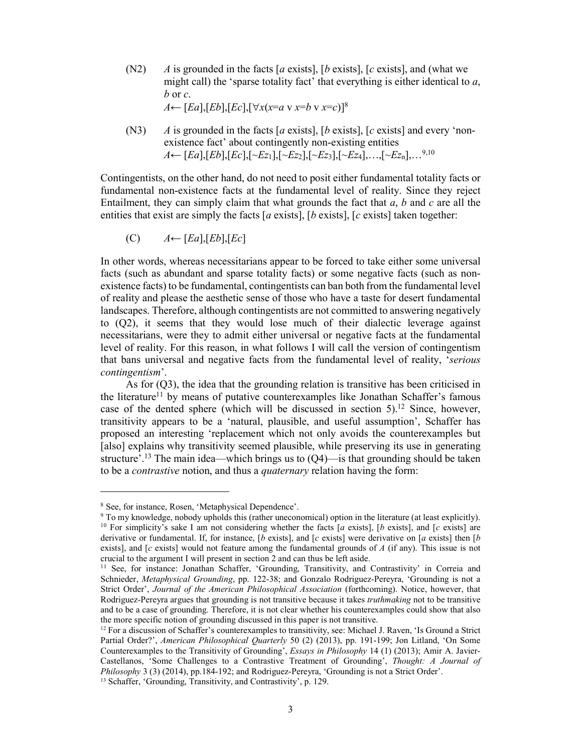- (N2) *A* is grounded in the facts [*a* exists], [*b* exists], [*c* exists], and (what we might call) the 'sparse totality fact' that everything is either identical to *a*, *b* or *c*. *A*←  $[Ed], [Eb], [Ec], [∀x(x=a \vee x=b \vee x=c)]^8$
- (N3) *A* is grounded in the facts [*a* exists], [*b* exists], [*c* exists] and every 'nonexistence fact' about contingently non-existing entities *A*← [*Ea*],[*Eb*],[*Ec*],[~*Ez*1],[~*Ez*2],[~*Ez*3],[~*Ez*4],…,[~*Ez*n],…9,10

Contingentists, on the other hand, do not need to posit either fundamental totality facts or fundamental non-existence facts at the fundamental level of reality. Since they reject Entailment, they can simply claim that what grounds the fact that *a*, *b* and *c* are all the entities that exist are simply the facts [*a* exists], [*b* exists], [*c* exists] taken together:

(C) *A*← [*Ea*],[*Eb*],[*Ec*]

In other words, whereas necessitarians appear to be forced to take either some universal facts (such as abundant and sparse totality facts) or some negative facts (such as nonexistence facts) to be fundamental, contingentists can ban both from the fundamental level of reality and please the aesthetic sense of those who have a taste for desert fundamental landscapes. Therefore, although contingentists are not committed to answering negatively to (Q2), it seems that they would lose much of their dialectic leverage against necessitarians, were they to admit either universal or negative facts at the fundamental level of reality. For this reason, in what follows I will call the version of contingentism that bans universal and negative facts from the fundamental level of reality, '*serious contingentism*'.

As for (Q3), the idea that the grounding relation is transitive has been criticised in the literature<sup>11</sup> by means of putative counterexamples like Jonathan Schaffer's famous case of the dented sphere (which will be discussed in section 5). <sup>12</sup> Since, however, transitivity appears to be a 'natural, plausible, and useful assumption', Schaffer has proposed an interesting 'replacement which not only avoids the counterexamples but [also] explains why transitivity seemed plausible, while preserving its use in generating structure'.<sup>13</sup> The main idea—which brings us to  $(Q4)$ —is that grounding should be taken to be a *contrastive* notion, and thus a *quaternary* relation having the form:

-

<sup>8</sup> See, for instance, Rosen, 'Metaphysical Dependence'.

<sup>9</sup> To my knowledge, nobody upholds this (rather uneconomical) option in the literature (at least explicitly). <sup>10</sup> For simplicity's sake I am not considering whether the facts [*a* exists], [*b* exists], and [*c* exists] are derivative or fundamental. If, for instance, [*b* exists], and [*c* exists] were derivative on [*a* exists] then [*b* exists], and [*c* exists] would not feature among the fundamental grounds of *A* (if any). This issue is not crucial to the argument I will present in section 2 and can thus be left aside.

<sup>&</sup>lt;sup>11</sup> See, for instance: Jonathan Schaffer, 'Grounding, Transitivity, and Contrastivity' in Correia and Schnieder, *Metaphysical Grounding*, pp. 122-38; and Gonzalo Rodriguez-Pereyra, 'Grounding is not a Strict Order', *Journal of the American Philosophical Association* (forthcoming). Notice, however, that Rodriguez-Pereyra argues that grounding is not transitive because it takes *truthmaking* not to be transitive and to be a case of grounding. Therefore, it is not clear whether his counterexamples could show that also the more specific notion of grounding discussed in this paper is not transitive.

<sup>12</sup> For a discussion of Schaffer's counterexamples to transitivity, see: Michael J. Raven, 'Is Ground a Strict Partial Order?', *American Philosophical Quarterly* 50 (2) (2013), pp. 191-199; Jon Litland, 'On Some Counterexamples to the Transitivity of Grounding', *Essays in Philosophy* 14 (1) (2013); Amir A. Javier-Castellanos, 'Some Challenges to a Contrastive Treatment of Grounding', *Thought: A Journal of Philosophy* 3 (3) (2014), pp.184-192; and Rodriguez-Pereyra, 'Grounding is not a Strict Order'. <sup>13</sup> Schaffer, 'Grounding, Transitivity, and Contrastivity', p. 129.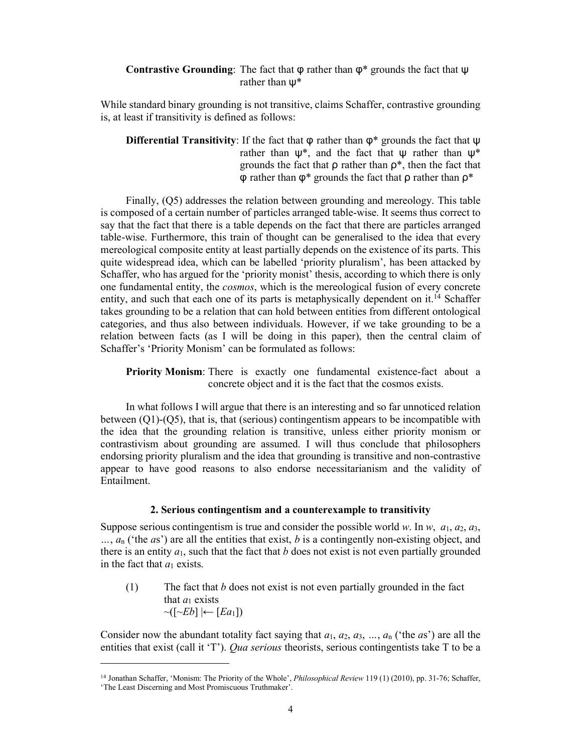## **Contrastive Grounding**: The fact that  $\varphi$  rather than  $\varphi^*$  grounds the fact that  $\psi$ rather than ψ\*

While standard binary grounding is not transitive, claims Schaffer, contrastive grounding is, at least if transitivity is defined as follows:

**Differential Transitivity**: If the fact that φ rather than φ\* grounds the fact that ψ rather than  $\psi^*$ , and the fact that  $\psi$  rather than  $\psi^*$ grounds the fact that  $\rho$  rather than  $\rho^*$ , then the fact that φ rather than φ\* grounds the fact that ρ rather than ρ\*

Finally, (Q5) addresses the relation between grounding and mereology. This table is composed of a certain number of particles arranged table-wise. It seems thus correct to say that the fact that there is a table depends on the fact that there are particles arranged table-wise. Furthermore, this train of thought can be generalised to the idea that every mereological composite entity at least partially depends on the existence of its parts. This quite widespread idea, which can be labelled 'priority pluralism', has been attacked by Schaffer, who has argued for the 'priority monist' thesis, according to which there is only one fundamental entity, the *cosmos*, which is the mereological fusion of every concrete entity, and such that each one of its parts is metaphysically dependent on it.<sup>14</sup> Schaffer takes grounding to be a relation that can hold between entities from different ontological categories, and thus also between individuals. However, if we take grounding to be a relation between facts (as I will be doing in this paper), then the central claim of Schaffer's 'Priority Monism' can be formulated as follows:

**Priority Monism**: There is exactly one fundamental existence-fact about a concrete object and it is the fact that the cosmos exists.

In what follows I will argue that there is an interesting and so far unnoticed relation between (Q1)-(Q5), that is, that (serious) contingentism appears to be incompatible with the idea that the grounding relation is transitive, unless either priority monism or contrastivism about grounding are assumed. I will thus conclude that philosophers endorsing priority pluralism and the idea that grounding is transitive and non-contrastive appear to have good reasons to also endorse necessitarianism and the validity of Entailment.

### **2. Serious contingentism and a counterexample to transitivity**

Suppose serious contingentism is true and consider the possible world *w*. In *w*,  $a_1$ ,  $a_2$ ,  $a_3$ , *…*, *a*<sup>n</sup> ('the *a*s') are all the entities that exist, *b* is a contingently non-existing object, and there is an entity  $a_1$ , such that the fact that  $b$  does not exist is not even partially grounded in the fact that  $a_1$  exists.

 $(1)$  The fact that *b* does not exist is not even partially grounded in the fact that  $a_1$  exists  $\sim$ ( $\sim$ *Eb*]  $\leftarrow$  [*Ea*<sub>1</sub>])

Consider now the abundant totality fact saying that  $a_1, a_2, a_3, \ldots, a_n$  ('the *a*s') are all the entities that exist (call it 'T'). *Qua serious* theorists, serious contingentists take T to be a

 $\ddot{ }$ 

<sup>14</sup> Jonathan Schaffer, 'Monism: The Priority of the Whole', *Philosophical Review* 119 (1) (2010), pp. 31-76; Schaffer, 'The Least Discerning and Most Promiscuous Truthmaker'.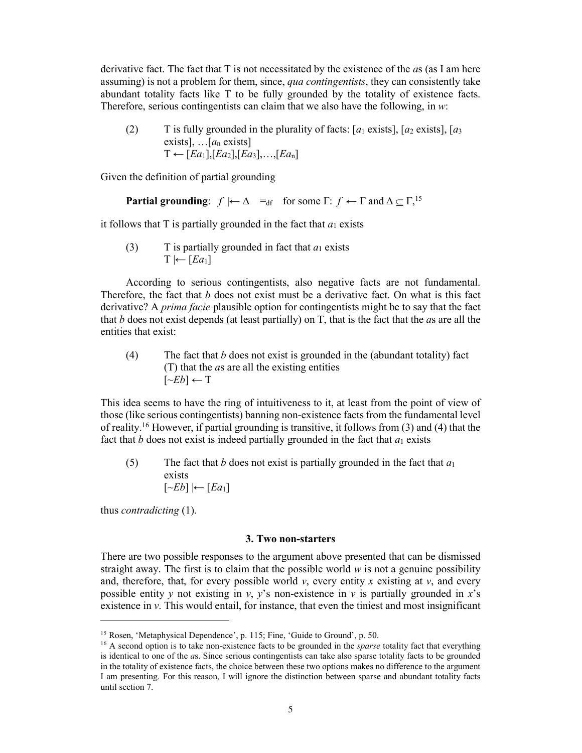derivative fact. The fact that T is not necessitated by the existence of the *a*s (as I am here assuming) is not a problem for them, since, *qua contingentists*, they can consistently take abundant totality facts like T to be fully grounded by the totality of existence facts. Therefore, serious contingentists can claim that we also have the following, in *w*:

(2) T is fully grounded in the plurality of facts:  $[a_1 \text{ exists}]$ ,  $[a_2 \text{ exists}]$ ,  $[a_3 \text{ exists}]$ exists], …[*a*<sup>n</sup> exists]  $T \leftarrow [Ea_1], [Ea_2], [Ea_3], \ldots, [Ea_n]$ 

Given the definition of partial grounding

**Partial grounding**: 
$$
f \models \Delta =_{df}
$$
 for some  $\Gamma: f \leftarrow \Gamma$  and  $\Delta \subseteq \Gamma$ <sup>15</sup>

it follows that T is partially grounded in the fact that  $a_1$  exists

(3) T is partially grounded in fact that  $a_1$  exists  $T \leftarrow [Ea_1]$ 

According to serious contingentists, also negative facts are not fundamental. Therefore, the fact that *b* does not exist must be a derivative fact. On what is this fact derivative? A *prima facie* plausible option for contingentists might be to say that the fact that *b* does not exist depends (at least partially) on T, that is the fact that the *a*s are all the entities that exist:

(4) The fact that *b* does not exist is grounded in the (abundant totality) fact (T) that the *a*s are all the existing entities  $[\neg Eb] \leftarrow T$ 

This idea seems to have the ring of intuitiveness to it, at least from the point of view of those (like serious contingentists) banning non-existence facts from the fundamental level of reality. <sup>16</sup> However, if partial grounding is transitive, it follows from (3) and (4) that the fact that  $b$  does not exist is indeed partially grounded in the fact that  $a_1$  exists

(5) The fact that *b* does not exist is partially grounded in the fact that *a*<sup>1</sup> exists  $[~\sim$ *Eb*]  $\leftarrow$  [*Ea*<sub>1</sub>]

thus *contradicting* (1).

 $\ddot{ }$ 

### **3. Two non-starters**

There are two possible responses to the argument above presented that can be dismissed straight away. The first is to claim that the possible world  $w$  is not a genuine possibility and, therefore, that, for every possible world  $v$ , every entity  $x$  existing at  $v$ , and every possible entity *y* not existing in *y*, *y*'s non-existence in *y* is partially grounded in *x*'s existence in  $\nu$ . This would entail, for instance, that even the tiniest and most insignificant

<sup>15</sup> Rosen, 'Metaphysical Dependence', p. 115; Fine, 'Guide to Ground', p. 50.

<sup>&</sup>lt;sup>16</sup> A second option is to take non-existence facts to be grounded in the *sparse* totality fact that everything is identical to one of the *a*s. Since serious contingentists can take also sparse totality facts to be grounded in the totality of existence facts, the choice between these two options makes no difference to the argument I am presenting. For this reason, I will ignore the distinction between sparse and abundant totality facts until section 7.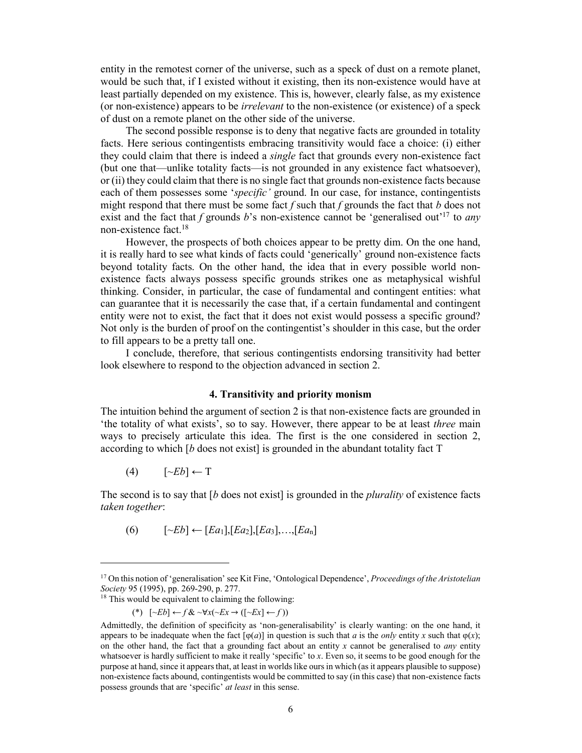entity in the remotest corner of the universe, such as a speck of dust on a remote planet, would be such that, if I existed without it existing, then its non-existence would have at least partially depended on my existence. This is, however, clearly false, as my existence (or non-existence) appears to be *irrelevant* to the non-existence (or existence) of a speck of dust on a remote planet on the other side of the universe.

The second possible response is to deny that negative facts are grounded in totality facts. Here serious contingentists embracing transitivity would face a choice: (i) either they could claim that there is indeed a *single* fact that grounds every non-existence fact (but one that—unlike totality facts—is not grounded in any existence fact whatsoever), or (ii) they could claim that there is no single fact that grounds non-existence facts because each of them possesses some '*specific'* ground. In our case, for instance, contingentists might respond that there must be some fact *f* such that *f* grounds the fact that *b* does not exist and the fact that *f* grounds *b*'s non-existence cannot be 'generalised out'17 to *any* non-existence fact. 18

However, the prospects of both choices appear to be pretty dim. On the one hand, it is really hard to see what kinds of facts could 'generically' ground non-existence facts beyond totality facts. On the other hand, the idea that in every possible world nonexistence facts always possess specific grounds strikes one as metaphysical wishful thinking. Consider, in particular, the case of fundamental and contingent entities: what can guarantee that it is necessarily the case that, if a certain fundamental and contingent entity were not to exist, the fact that it does not exist would possess a specific ground? Not only is the burden of proof on the contingentist's shoulder in this case, but the order to fill appears to be a pretty tall one.

I conclude, therefore, that serious contingentists endorsing transitivity had better look elsewhere to respond to the objection advanced in section 2.

#### **4. Transitivity and priority monism**

The intuition behind the argument of section 2 is that non-existence facts are grounded in 'the totality of what exists', so to say. However, there appear to be at least *three* main ways to precisely articulate this idea. The first is the one considered in section 2, according to which [*b* does not exist] is grounded in the abundant totality fact T

 $(4)$   $[\neg Eb] \leftarrow T$ 

 $\ddot{ }$ 

The second is to say that [*b* does not exist] is grounded in the *plurality* of existence facts *taken together*:

(6) [~*Eb*] ← [*Ea*1],[*Ea*2],[*Ea*3],…,[*Ea*n]

<sup>17</sup> On this notion of 'generalisation' see Kit Fine, 'Ontological Dependence', *Proceedings of the Aristotelian Society* 95 (1995), pp. 269-290, p. 277.

<sup>&</sup>lt;sup>18</sup> This would be equivalent to claiming the following:

<sup>(\*) [~</sup>*Eb*] ← *f* & ~∀*x*(~*Ex* → ([~*Ex*] ← *f* ))

Admittedly, the definition of specificity as 'non-generalisability' is clearly wanting: on the one hand, it appears to be inadequate when the fact  $[\varphi(a)]$  in question is such that *a* is the *only* entity *x* such that  $\varphi(x)$ ; on the other hand, the fact that a grounding fact about an entity *x* cannot be generalised to *any* entity whatsoever is hardly sufficient to make it really 'specific' to *x*. Even so, it seems to be good enough for the purpose at hand, since it appears that, at least in worlds like ours in which (as it appears plausible to suppose) non-existence facts abound, contingentists would be committed to say (in this case) that non-existence facts possess grounds that are 'specific' *at least* in this sense.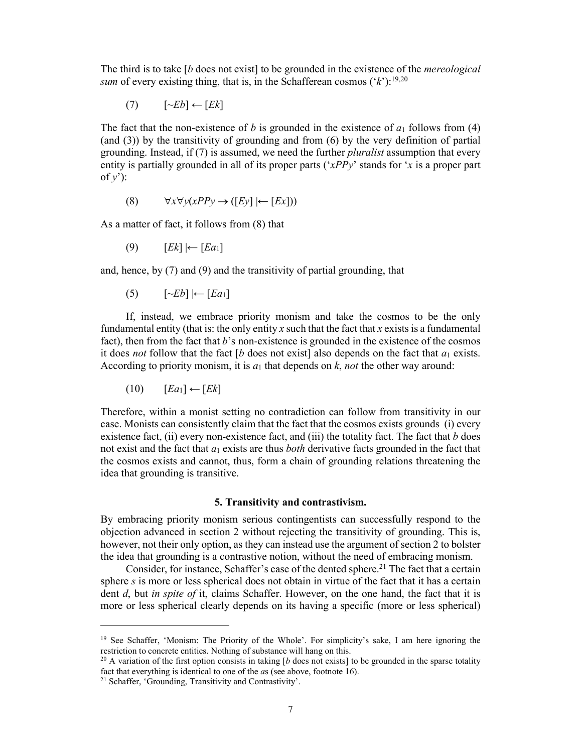The third is to take [*b* does not exist] to be grounded in the existence of the *mereological sum* of every existing thing, that is, in the Schafferean cosmos  $({}^{\cdot}k$ ):<sup>19,20</sup>

(7) [~*Eb*] ← [*Ek*]

The fact that the non-existence of *b* is grounded in the existence of  $a_1$  follows from (4) (and (3)) by the transitivity of grounding and from (6) by the very definition of partial grounding. Instead, if (7) is assumed, we need the further *pluralist* assumption that every entity is partially grounded in all of its proper parts ('*xPPy*' stands for '*x* is a proper part of  $y'$ ):

$$
(8) \qquad \forall x \forall y (xPPy \to ([Ey] \mid \leftarrow [Ex]))
$$

As a matter of fact, it follows from (8) that

(9) [*Ek*] |← [*Ea*1]

and, hence, by (7) and (9) and the transitivity of partial grounding, that

(5) [~*Eb*] |← [*Ea*1]

If, instead, we embrace priority monism and take the cosmos to be the only fundamental entity (that is: the only entity  $x$  such that the fact that  $x$  exists is a fundamental fact), then from the fact that *b*'s non-existence is grounded in the existence of the cosmos it does *not* follow that the fact  $\lceil b \rceil$  does not exist. Also depends on the fact that  $a_1$  exists. According to priority monism, it is  $a_1$  that depends on  $k$ , *not* the other way around:

$$
(10) \qquad [Ea_1] \leftarrow [Ek]
$$

Therefore, within a monist setting no contradiction can follow from transitivity in our case. Monists can consistently claim that the fact that the cosmos exists grounds (i) every existence fact, (ii) every non-existence fact, and (iii) the totality fact. The fact that *b* does not exist and the fact that *a*<sup>1</sup> exists are thus *both* derivative facts grounded in the fact that the cosmos exists and cannot, thus, form a chain of grounding relations threatening the idea that grounding is transitive.

#### **5. Transitivity and contrastivism.**

By embracing priority monism serious contingentists can successfully respond to the objection advanced in section 2 without rejecting the transitivity of grounding. This is, however, not their only option, as they can instead use the argument of section 2 to bolster the idea that grounding is a contrastive notion, without the need of embracing monism.

Consider, for instance, Schaffer's case of the dented sphere.<sup>21</sup> The fact that a certain sphere *s* is more or less spherical does not obtain in virtue of the fact that it has a certain dent *d*, but *in spite of* it, claims Schaffer. However, on the one hand, the fact that it is more or less spherical clearly depends on its having a specific (more or less spherical)

 $\ddot{ }$ 

<sup>&</sup>lt;sup>19</sup> See Schaffer, 'Monism: The Priority of the Whole'. For simplicity's sake, I am here ignoring the restriction to concrete entities. Nothing of substance will hang on this.

<sup>&</sup>lt;sup>20</sup> A variation of the first option consists in taking [*b* does not exists] to be grounded in the sparse totality fact that everything is identical to one of the *a*s (see above, footnote 16).

<sup>21</sup> Schaffer, 'Grounding, Transitivity and Contrastivity'.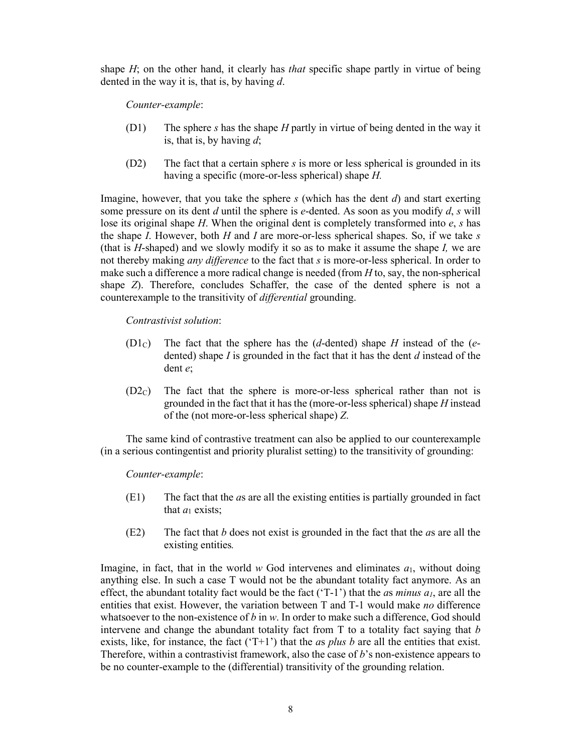shape *H*; on the other hand, it clearly has *that* specific shape partly in virtue of being dented in the way it is, that is, by having *d*.

*Counter-example*:

- (D1) The sphere *s* has the shape *H* partly in virtue of being dented in the way it is, that is, by having *d*;
- (D2) The fact that a certain sphere *s* is more or less spherical is grounded in its having a specific (more-or-less spherical) shape *H.*

Imagine, however, that you take the sphere *s* (which has the dent *d*) and start exerting some pressure on its dent *d* until the sphere is *e*-dented. As soon as you modify *d*, *s* will lose its original shape *H*. When the original dent is completely transformed into *e*, *s* has the shape *I*. However, both *H* and *I* are more-or-less spherical shapes. So, if we take *s* (that is *H*-shaped) and we slowly modify it so as to make it assume the shape *I,* we are not thereby making *any difference* to the fact that *s* is more-or-less spherical. In order to make such a difference a more radical change is needed (from *H* to, say, the non-spherical shape *Z*). Therefore, concludes Schaffer, the case of the dented sphere is not a counterexample to the transitivity of *differential* grounding.

*Contrastivist solution*:

- (D1C) The fact that the sphere has the (*d*-dented) shape *H* instead of the (*e*dented) shape *I* is grounded in the fact that it has the dent *d* instead of the dent *e*;
- (D2C) The fact that the sphere is more-or-less spherical rather than not is grounded in the fact that it has the (more-or-less spherical) shape *H* instead of the (not more-or-less spherical shape) *Z*.

The same kind of contrastive treatment can also be applied to our counterexample (in a serious contingentist and priority pluralist setting) to the transitivity of grounding:

*Counter-example*:

- (E1) The fact that the *a*s are all the existing entities is partially grounded in fact that  $a_1$  exists;
- (E2) The fact that *b* does not exist is grounded in the fact that the *a*s are all the existing entities*.*

Imagine, in fact, that in the world  $w$  God intervenes and eliminates  $a_1$ , without doing anything else. In such a case T would not be the abundant totality fact anymore. As an effect, the abundant totality fact would be the fact ('T-1') that the *as minus*  $a<sub>l</sub>$ , are all the entities that exist. However, the variation between T and T-1 would make *no* difference whatsoever to the non-existence of *b* in *w*. In order to make such a difference, God should intervene and change the abundant totality fact from T to a totality fact saying that *b*  exists, like, for instance, the fact  $(T+1)$  that the *as plus b* are all the entities that exist. Therefore, within a contrastivist framework, also the case of *b*'s non-existence appears to be no counter-example to the (differential) transitivity of the grounding relation.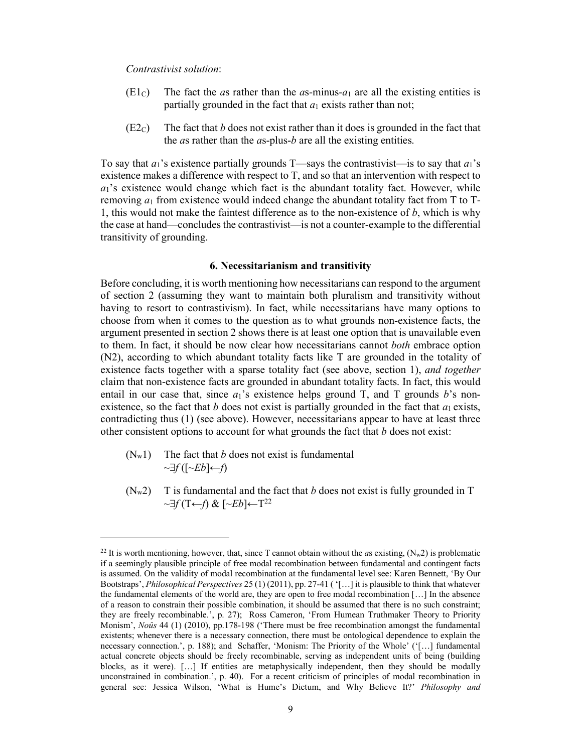*Contrastivist solution*:

- (E1c) The fact the *a*s rather than the *a*s-minus- $a_1$  are all the existing entities is partially grounded in the fact that  $a_1$  exists rather than not;
- $(E2<sub>C</sub>)$  The fact that *b* does not exist rather than it does is grounded in the fact that the *a*s rather than the *a*s-plus-*b* are all the existing entities.

To say that  $a_1$ 's existence partially grounds T—says the contrastivist—is to say that  $a_1$ 's existence makes a difference with respect to T, and so that an intervention with respect to  $a_1$ 's existence would change which fact is the abundant totality fact. However, while removing  $a_1$  from existence would indeed change the abundant totality fact from  $T$  to  $T$ -1, this would not make the faintest difference as to the non-existence of *b*, which is why the case at hand—concludes the contrastivist—is not a counter-example to the differential transitivity of grounding.

#### **6. Necessitarianism and transitivity**

Before concluding, it is worth mentioning how necessitarians can respond to the argument of section 2 (assuming they want to maintain both pluralism and transitivity without having to resort to contrastivism). In fact, while necessitarians have many options to choose from when it comes to the question as to what grounds non-existence facts, the argument presented in section 2 shows there is at least one option that is unavailable even to them. In fact, it should be now clear how necessitarians cannot *both* embrace option (N2), according to which abundant totality facts like T are grounded in the totality of existence facts together with a sparse totality fact (see above, section 1), *and together* claim that non-existence facts are grounded in abundant totality facts. In fact, this would entail in our case that, since  $a_1$ 's existence helps ground T, and T grounds *b*'s nonexistence, so the fact that *b* does not exist is partially grounded in the fact that  $a_1$  exists, contradicting thus (1) (see above). However, necessitarians appear to have at least three other consistent options to account for what grounds the fact that *b* does not exist:

 $(N_w1)$  The fact that *b* does not exist is fundamental  $\sim\exists f$ ( $\left[\sim\!\!Eb\right]\leftarrow\!\!f$ )

 $\overline{a}$ 

 $(N_w 2)$  T is fundamental and the fact that *b* does not exist is fully grounded in T ~*f* (T←*f*) & [~*Eb*]←T22

<sup>&</sup>lt;sup>22</sup> It is worth mentioning, however, that, since T cannot obtain without the *as* existing,  $(N_w2)$  is problematic if a seemingly plausible principle of free modal recombination between fundamental and contingent facts is assumed. On the validity of modal recombination at the fundamental level see: Karen Bennett, 'By Our Bootstraps', *Philosophical Perspectives* 25 (1) (2011), pp. 27-41 ( '[…] it is plausible to think that whatever the fundamental elements of the world are, they are open to free modal recombination […] In the absence of a reason to constrain their possible combination, it should be assumed that there is no such constraint; they are freely recombinable.', p. 27); Ross Cameron, 'From Humean Truthmaker Theory to Priority Monism', *Noûs* 44 (1) (2010), pp.178-198 ('There must be free recombination amongst the fundamental existents; whenever there is a necessary connection, there must be ontological dependence to explain the necessary connection.', p. 188); and Schaffer, 'Monism: The Priority of the Whole' ('[…] fundamental actual concrete objects should be freely recombinable, serving as independent units of being (building blocks, as it were). [...] If entities are metaphysically independent, then they should be modally unconstrained in combination.', p. 40). For a recent criticism of principles of modal recombination in general see: Jessica Wilson, 'What is Hume's Dictum, and Why Believe It?' *Philosophy and*